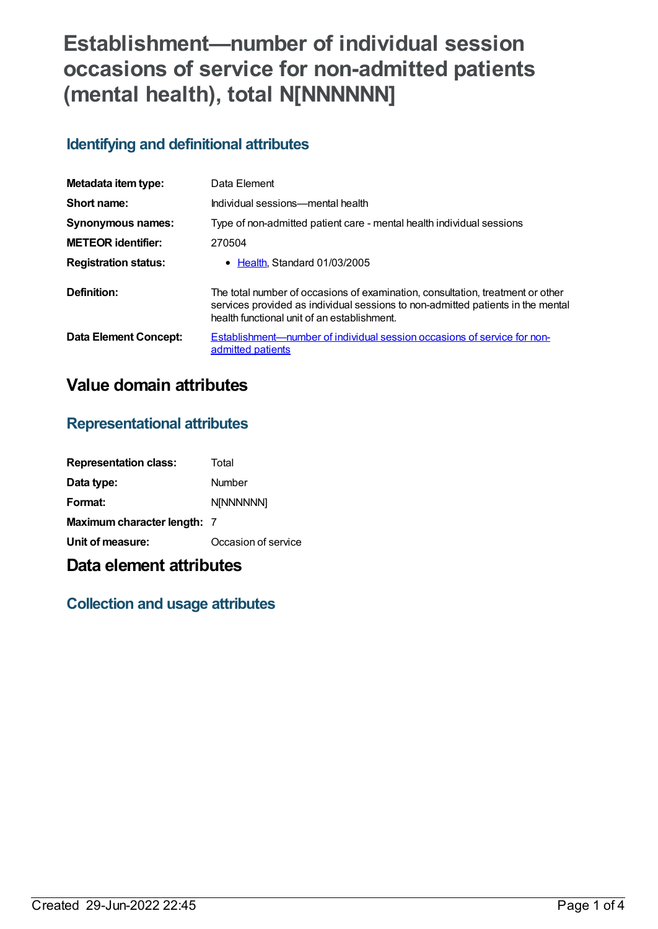# **Establishment—number of individual session occasions of service for non-admitted patients (mental health), total N[NNNNNN]**

# **Identifying and definitional attributes**

| Metadata item type:          | Data Element                                                                                                                                                                                                     |
|------------------------------|------------------------------------------------------------------------------------------------------------------------------------------------------------------------------------------------------------------|
| Short name:                  | Individual sessions—mental health                                                                                                                                                                                |
| <b>Synonymous names:</b>     | Type of non-admitted patient care - mental health individual sessions                                                                                                                                            |
| <b>METEOR</b> identifier:    | 270504                                                                                                                                                                                                           |
| <b>Registration status:</b>  | • Health, Standard 01/03/2005                                                                                                                                                                                    |
| Definition:                  | The total number of occasions of examination, consultation, treatment or other<br>services provided as individual sessions to non-admitted patients in the mental<br>health functional unit of an establishment. |
| <b>Data Element Concept:</b> | Establishment—number of individual session occasions of service for non-<br>admitted patients                                                                                                                    |

# **Value domain attributes**

#### **Representational attributes**

| <b>Representation class:</b> | Total               |
|------------------------------|---------------------|
| Data type:                   | Number              |
| Format:                      | <b>N[NNNNNN]</b>    |
| Maximum character length: 7  |                     |
| Unit of measure:             | Occasion of service |

# **Data element attributes**

## **Collection and usage attributes**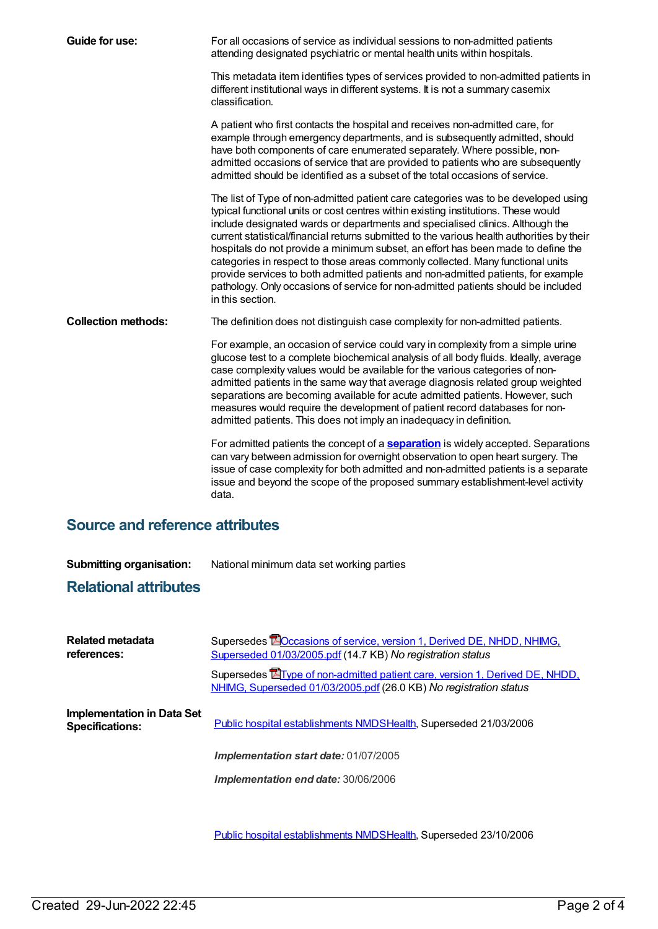| Guide for use:                         | For all occasions of service as individual sessions to non-admitted patients<br>attending designated psychiatric or mental health units within hospitals.                                                                                                                                                                                                                                                                                                                                                                                                                                                                                                                                                                   |  |
|----------------------------------------|-----------------------------------------------------------------------------------------------------------------------------------------------------------------------------------------------------------------------------------------------------------------------------------------------------------------------------------------------------------------------------------------------------------------------------------------------------------------------------------------------------------------------------------------------------------------------------------------------------------------------------------------------------------------------------------------------------------------------------|--|
|                                        | This metadata item identifies types of services provided to non-admitted patients in<br>different institutional ways in different systems. It is not a summary casemix<br>classification.                                                                                                                                                                                                                                                                                                                                                                                                                                                                                                                                   |  |
|                                        | A patient who first contacts the hospital and receives non-admitted care, for<br>example through emergency departments, and is subsequently admitted, should<br>have both components of care enumerated separately. Where possible, non-<br>admitted occasions of service that are provided to patients who are subsequently<br>admitted should be identified as a subset of the total occasions of service.                                                                                                                                                                                                                                                                                                                |  |
|                                        | The list of Type of non-admitted patient care categories was to be developed using<br>typical functional units or cost centres within existing institutions. These would<br>include designated wards or departments and specialised clinics. Although the<br>current statistical/financial returns submitted to the various health authorities by their<br>hospitals do not provide a minimum subset, an effort has been made to define the<br>categories in respect to those areas commonly collected. Many functional units<br>provide services to both admitted patients and non-admitted patients, for example<br>pathology. Only occasions of service for non-admitted patients should be included<br>in this section. |  |
| <b>Collection methods:</b>             | The definition does not distinguish case complexity for non-admitted patients.                                                                                                                                                                                                                                                                                                                                                                                                                                                                                                                                                                                                                                              |  |
|                                        | For example, an occasion of service could vary in complexity from a simple urine<br>glucose test to a complete biochemical analysis of all body fluids. Ideally, average<br>case complexity values would be available for the various categories of non-<br>admitted patients in the same way that average diagnosis related group weighted<br>separations are becoming available for acute admitted patients. However, such<br>measures would require the development of patient record databases for non-<br>admitted patients. This does not imply an inadequacy in definition.                                                                                                                                          |  |
|                                        | For admitted patients the concept of a <b>separation</b> is widely accepted. Separations<br>can vary between admission for overnight observation to open heart surgery. The<br>issue of case complexity for both admitted and non-admitted patients is a separate<br>issue and beyond the scope of the proposed summary establishment-level activity<br>data.                                                                                                                                                                                                                                                                                                                                                               |  |
| <b>Source and reference attributes</b> |                                                                                                                                                                                                                                                                                                                                                                                                                                                                                                                                                                                                                                                                                                                             |  |

**Submitting organisation:** National minimum data set working parties

### **Relational attributes**

| Related metadata<br>references:                             | Supersedes <b>EO</b> ccasions of service, version 1, Derived DE, NHDD, NHIMG,<br>Superseded 01/03/2005.pdf (14.7 KB) No registration status              |
|-------------------------------------------------------------|----------------------------------------------------------------------------------------------------------------------------------------------------------|
|                                                             | Supersedes <b>E</b> Type of non-admitted patient care, version 1, Derived DE, NHDD,<br>NHIMG, Superseded 01/03/2005.pdf (26.0 KB) No registration status |
| <b>Implementation in Data Set</b><br><b>Specifications:</b> | Public hospital establishments NMDSHealth, Superseded 21/03/2006                                                                                         |
|                                                             | <b>Implementation start date: 01/07/2005</b>                                                                                                             |
|                                                             | <b>Implementation end date: 30/06/2006</b>                                                                                                               |
|                                                             |                                                                                                                                                          |

Public hospital [establishments](https://meteor.aihw.gov.au/content/334285) NMDS[Health](https://meteor.aihw.gov.au/RegistrationAuthority/12), Superseded 23/10/2006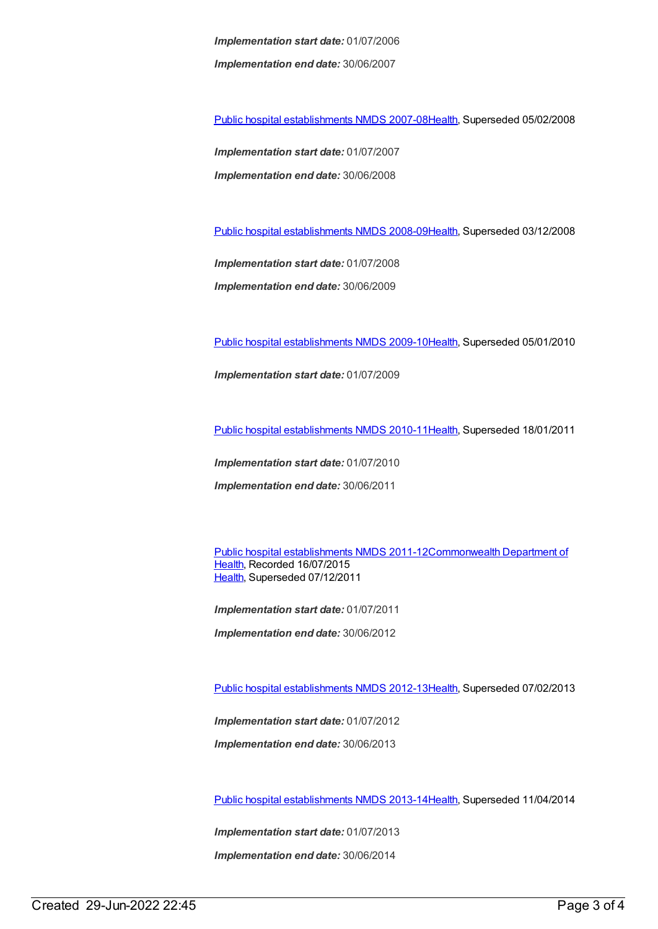*Implementation start date:* 01/07/2006 *Implementation end date:* 30/06/2007

Public hospital [establishments](https://meteor.aihw.gov.au/content/345139) NMDS 2007-08[Health](https://meteor.aihw.gov.au/RegistrationAuthority/12), Superseded 05/02/2008

*Implementation start date:* 01/07/2007 *Implementation end date:* 30/06/2008

Public hospital [establishments](https://meteor.aihw.gov.au/content/362302) NMDS 2008-09[Health](https://meteor.aihw.gov.au/RegistrationAuthority/12), Superseded 03/12/2008

*Implementation start date:* 01/07/2008 *Implementation end date:* 30/06/2009

Public hospital [establishments](https://meteor.aihw.gov.au/content/374924) NMDS 2009-10[Health](https://meteor.aihw.gov.au/RegistrationAuthority/12), Superseded 05/01/2010

*Implementation start date:* 01/07/2009

Public hospital [establishments](https://meteor.aihw.gov.au/content/386794) NMDS 2010-11[Health](https://meteor.aihw.gov.au/RegistrationAuthority/12), Superseded 18/01/2011

*Implementation start date:* 01/07/2010 *Implementation end date:* 30/06/2011

Public hospital [establishments](https://meteor.aihw.gov.au/content/426900) NMDS [2011-12Commonwealth](https://meteor.aihw.gov.au/RegistrationAuthority/10) Department of Health, Recorded 16/07/2015 [Health](https://meteor.aihw.gov.au/RegistrationAuthority/12), Superseded 07/12/2011

*Implementation start date:* 01/07/2011 *Implementation end date:* 30/06/2012

Public hospital [establishments](https://meteor.aihw.gov.au/content/470656) NMDS 2012-13[Health](https://meteor.aihw.gov.au/RegistrationAuthority/12), Superseded 07/02/2013

*Implementation start date:* 01/07/2012

*Implementation end date:* 30/06/2013

Public hospital [establishments](https://meteor.aihw.gov.au/content/504279) NMDS 2013-14[Health](https://meteor.aihw.gov.au/RegistrationAuthority/12), Superseded 11/04/2014

*Implementation start date:* 01/07/2013

*Implementation end date:* 30/06/2014